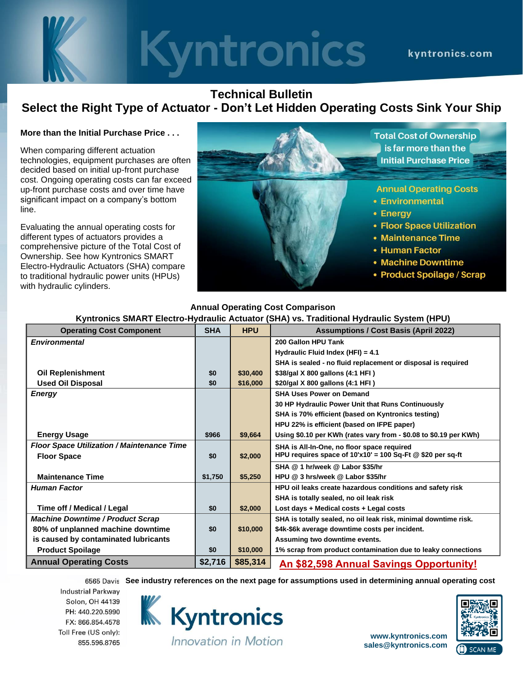# **Kyntronics** kvntronics.com

## **Technical Bulletin Select the Right Type of Actuator - Don't Let Hidden Operating Costs Sink Your Ship**

### **More than the Initial Purchase Price . . .**

When comparing different actuation technologies, equipment purchases are often decided based on initial up-front purchase cost. Ongoing operating costs can far exceed up-front purchase costs and over time have significant impact on a company's bottom line.

Evaluating the annual operating costs for different types of actuators provides a comprehensive picture of the Total Cost of Ownership. See how Kyntronics SMART Electro-Hydraulic Actuators (SHA) compare to traditional hydraulic power units (HPUs) with hydraulic cylinders.



#### **Operating Cost Component SHA HPU Assumptions / Cost Basis (April 2022)** *Environmental* **200 Gallon HPU Tank Hydraulic Fluid Index (HFI) = 4.1 SHA is sealed - no fluid replacement or disposal is required Oil Replenishment \$0 \$30,400 \$38/gal X 800 gallons (4:1 HFI ) Used Oil Disposal \$0 \$16,000 \$20/gal X 800 gallons (4:1 HFI ) Energy SHA Uses Power on Demand 30 HP Hydraulic Power Unit that Runs Continuously SHA is 70% efficient (based on Kyntronics testing) HPU 22% is efficient (based on IFPE paper) Energy Usage 80.19 per KWh \$966 \$9,664 Using \$0.10 per KWh** (rates vary from - \$0.08 to \$0.19 per KWh) **Floor Space Utilization / Maintenance Time SHA is All-In-One, no floor space required HPU requires space of 10'x10' = 100 Sq-Ft @ \$20 per sq-ft Floor Space 80 \$2,000 SHA @ 1 hr/week @ Labor \$35/hr Maintenance Time \$1,750 \$5,250 HPU @ 3 hrs/week @ Labor \$35/hr**

**Human Factor HPU oil leaks create hazardous conditions and safety risk** 

Machine Downtime / Product Scrap **State of Accord Contract Scrap** SHA is totally sealed, no oil leak risk, minimal downtime risk.

**Product Spoilage 10.1 <b>10.000 \$10,000 1**% scrap from product contamination due to leaky connections **Annual Operating Costs \$2,716 \$85,314 An \$82,598 Annual Savings Opportunity!**

## **Annual Operating Cost Comparison Kyntronics SMART Electro-Hydraulic Actuator (SHA) vs. Traditional Hydraulic System (HPU)**

**See industry references on the next page for assumptions used in determining annual operating cost** 

**SHA is totally sealed, no oil leak risk**

**Industrial Parkway** Solon, OH 44139 PH: 440.220.5990 FX: 866.854.4578 Toll Free (US only): 855.596.8765



**Time off / Medical / Legal**  $\qquad \qquad$  **\$2,000 Lost days + Medical costs + Legal costs** 

**is caused by contaminated lubricants Assuming two downtime events.** 

**80% of unplanned machine downtime \$0 \$10,000 \$4k-\$6k average downtime costs per incident.**

**[www.kyntronics.com](http://www.kyntronics.com/) [sales@kyntronics.com](mailto:sales@kyntronics.com)**